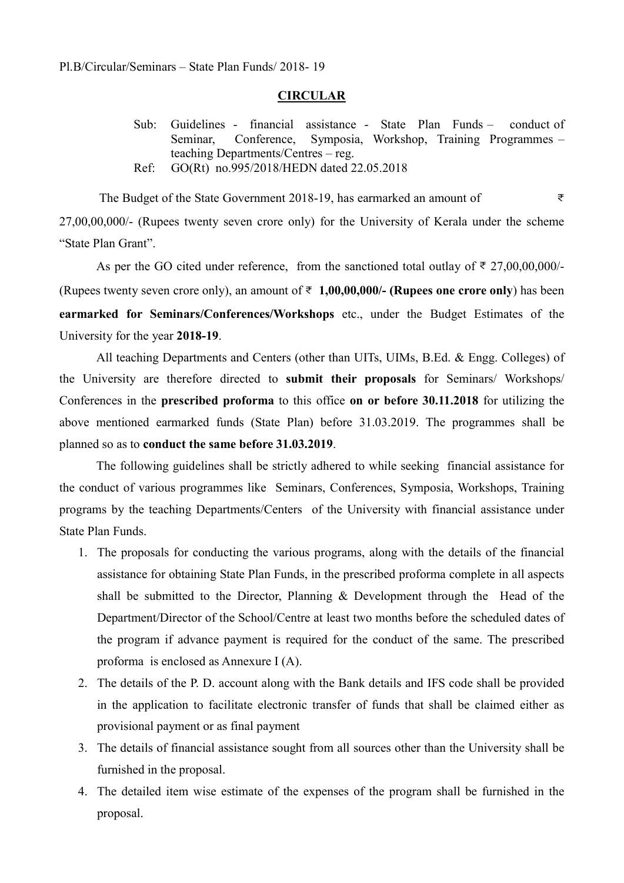#### **CIRCULAR**

- Sub: Guidelines financial assistance State Plan Funds conduct of Seminar, Conference, Symposia, Workshop, Training Programmes – teaching Departments/Centres – reg.
- Ref: GO(Rt) no.995/2018/HEDN dated 22.05.2018

The Budget of the State Government 2018-19, has earmarked an amount of  $\bar{z}$ 27,00,00,000/- (Rupees twenty seven crore only) for the University of Kerala under the scheme "State Plan Grant".

As per the GO cited under reference, from the sanctioned total outlay of  $\bar{\tau}$  27,00,00,000/-(Rupees twenty seven crore only), an amount of  $\bar{\tau}$  1,00,00,000/- (Rupees one crore only) has been earmarked for Seminars/Conferences/Workshops etc., under the Budget Estimates of the University for the year 2018-19.

 All teaching Departments and Centers (other than UITs, UIMs, B.Ed. & Engg. Colleges) of the University are therefore directed to submit their proposals for Seminars/ Workshops/ Conferences in the prescribed proforma to this office on or before 30.11.2018 for utilizing the above mentioned earmarked funds (State Plan) before 31.03.2019. The programmes shall be planned so as to conduct the same before 31.03.2019.

The following guidelines shall be strictly adhered to while seeking financial assistance for the conduct of various programmes like Seminars, Conferences, Symposia, Workshops, Training programs by the teaching Departments/Centers of the University with financial assistance under State Plan Funds.

- 1. The proposals for conducting the various programs, along with the details of the financial assistance for obtaining State Plan Funds, in the prescribed proforma complete in all aspects shall be submitted to the Director, Planning & Development through the Head of the Department/Director of the School/Centre at least two months before the scheduled dates of the program if advance payment is required for the conduct of the same. The prescribed proforma is enclosed as Annexure I (A).
- 2. The details of the P. D. account along with the Bank details and IFS code shall be provided in the application to facilitate electronic transfer of funds that shall be claimed either as provisional payment or as final payment
- 3. The details of financial assistance sought from all sources other than the University shall be furnished in the proposal.
- 4. The detailed item wise estimate of the expenses of the program shall be furnished in the proposal.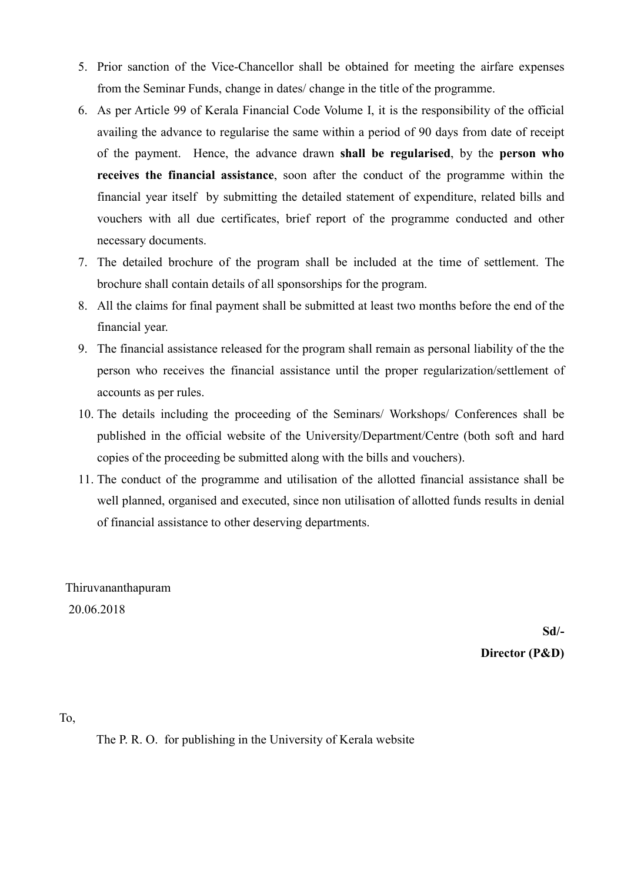- 5. Prior sanction of the Vice-Chancellor shall be obtained for meeting the airfare expenses from the Seminar Funds, change in dates/ change in the title of the programme.
- 6. As per Article 99 of Kerala Financial Code Volume I, it is the responsibility of the official availing the advance to regularise the same within a period of 90 days from date of receipt of the payment. Hence, the advance drawn shall be regularised, by the person who receives the financial assistance, soon after the conduct of the programme within the financial year itself by submitting the detailed statement of expenditure, related bills and vouchers with all due certificates, brief report of the programme conducted and other necessary documents.
- 7. The detailed brochure of the program shall be included at the time of settlement. The brochure shall contain details of all sponsorships for the program.
- 8. All the claims for final payment shall be submitted at least two months before the end of the financial year.
- 9. The financial assistance released for the program shall remain as personal liability of the the person who receives the financial assistance until the proper regularization/settlement of accounts as per rules.
- 10. The details including the proceeding of the Seminars/ Workshops/ Conferences shall be published in the official website of the University/Department/Centre (both soft and hard copies of the proceeding be submitted along with the bills and vouchers).
- 11. The conduct of the programme and utilisation of the allotted financial assistance shall be well planned, organised and executed, since non utilisation of allotted funds results in denial of financial assistance to other deserving departments.

 Thiruvananthapuram 20.06.2018

> Sd/- Director (P&D)

To,

The P. R. O. for publishing in the University of Kerala website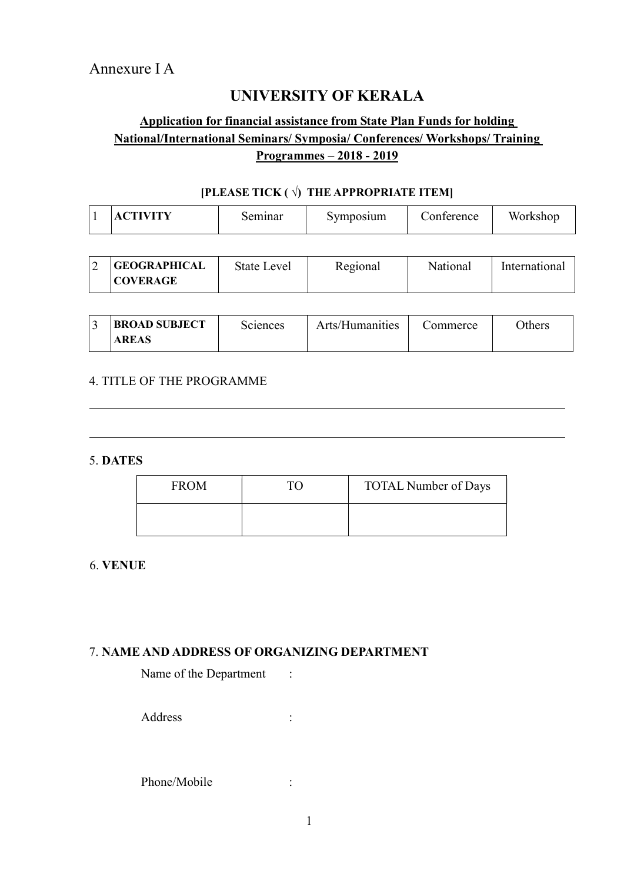# UNIVERSITY OF KERALA

# Application for financial assistance from State Plan Funds for holding National/International Seminars/ Symposia/ Conferences/ Workshops/ Training Programmes – 2018 - 2019

## [PLEASE TICK  $(\vec{v})$  THE APPROPRIATE ITEM]

| IX 7 TITIN 7<br>symposium<br>∩n<br>seminar<br>iterence<br>A I<br>. . | Workshop |
|----------------------------------------------------------------------|----------|
|----------------------------------------------------------------------|----------|

| <b>GEOGRAPHICAL</b> | State Level | Regional | National | International |
|---------------------|-------------|----------|----------|---------------|
| <b>COVERAGE</b>     |             |          |          |               |

| <b>BROAD SUBJECT</b> | Sciences | Arts/Humanities | Commerce | <b>Others</b> |
|----------------------|----------|-----------------|----------|---------------|
| <b>AREAS</b>         |          |                 |          |               |

### 4. TITLE OF THE PROGRAMME

#### 5. DATES

 $\overline{a}$ 

 $\overline{a}$ 

| <b>FROM</b> | <b>TOTAL Number of Days</b> |
|-------------|-----------------------------|
|             |                             |

### 6. VENUE

## 7. NAME AND ADDRESS OF ORGANIZING DEPARTMENT

Name of the Department :

Address :

Phone/Mobile :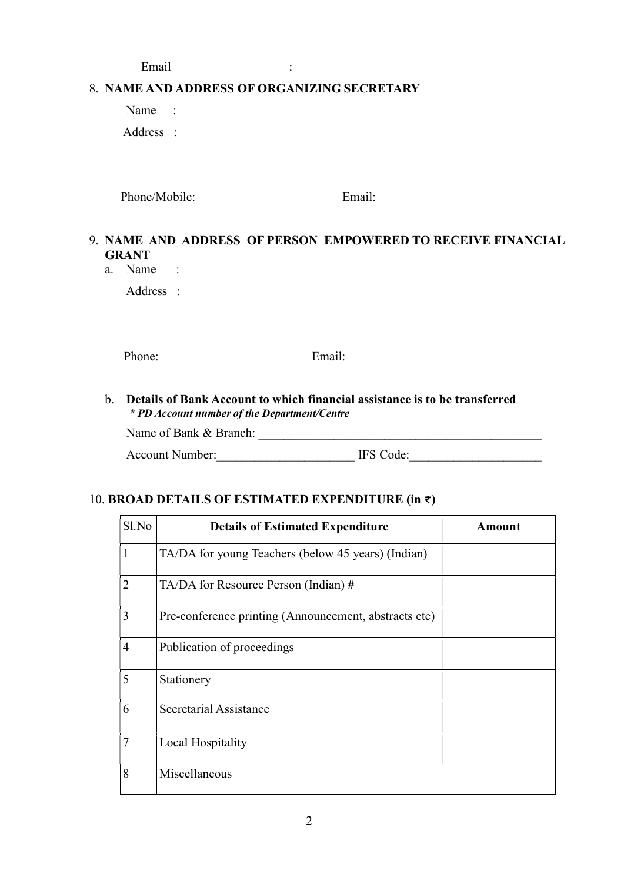Email :

#### 8. NAME AND ADDRESS OF ORGANIZING SECRETARY

 Name : Address :

Phone/Mobile: Email:

# 9. NAME AND ADDRESS OF PERSON EMPOWERED TO RECEIVE FINANCIAL GRANT

a. Name :

Address :

Phone: Email:

#### b. Details of Bank Account to which financial assistance is to be transferred \* PD Account number of the Department/Centre

Name of Bank & Branch:

Account Number:\_\_\_\_\_\_\_\_\_\_\_\_\_\_\_\_\_\_\_\_\_\_ IFS Code:\_\_\_\_\_\_\_\_\_\_\_\_\_\_\_\_\_\_\_\_\_

## 10. BROAD DETAILS OF ESTIMATED EXPENDITURE (in  $\bar{\tau}$ )

| Sl.No          | <b>Details of Estimated Expenditure</b>               | <b>Amount</b> |
|----------------|-------------------------------------------------------|---------------|
| $\mathbf{1}$   | TA/DA for young Teachers (below 45 years) (Indian)    |               |
| $\overline{2}$ | TA/DA for Resource Person (Indian) #                  |               |
| 3              | Pre-conference printing (Announcement, abstracts etc) |               |
| $\overline{4}$ | Publication of proceedings                            |               |
| 5              | Stationery                                            |               |
| 6              | Secretarial Assistance                                |               |
| $\overline{7}$ | Local Hospitality                                     |               |
| 8              | Miscellaneous                                         |               |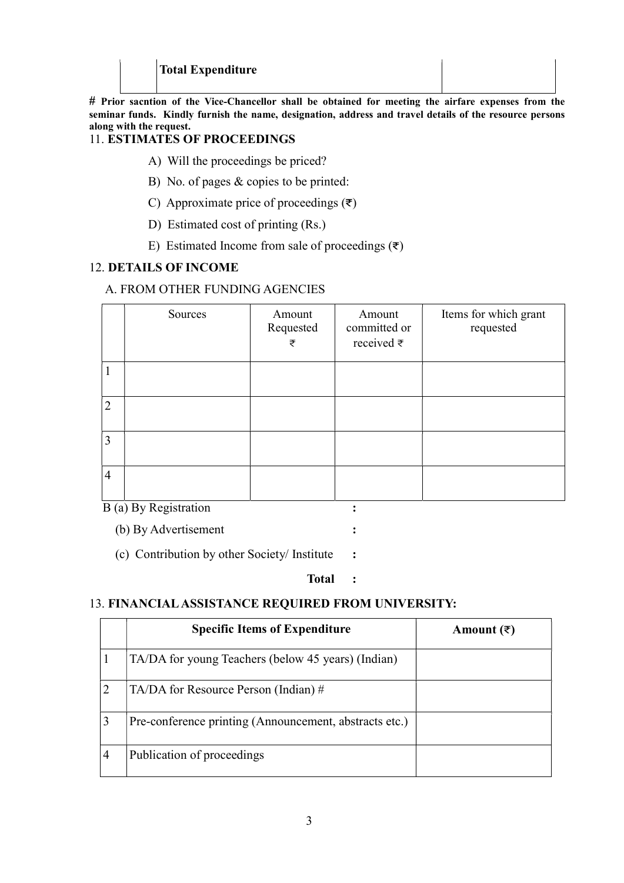## Total Expenditure

# Prior sacntion of the Vice-Chancellor shall be obtained for meeting the airfare expenses from the seminar funds. Kindly furnish the name, designation, address and travel details of the resource persons along with the request.

### 11. ESTIMATES OF PROCEEDINGS

- A) Will the proceedings be priced?
- B) No. of pages & copies to be printed:
- C) Approximate price of proceedings  $(\overline{\tau})$
- D) Estimated cost of printing (Rs.)
- E) Estimated Income from sale of proceedings  $(\vec{\tau})$

#### 12. DETAILS OF INCOME

#### A. FROM OTHER FUNDING AGENCIES

|                | Sources | Amount<br>Requested<br>₹ | Amount<br>committed or<br>received $\bar{z}$ | Items for which grant<br>requested |
|----------------|---------|--------------------------|----------------------------------------------|------------------------------------|
| -1             |         |                          |                                              |                                    |
| $\overline{2}$ |         |                          |                                              |                                    |
| 3              |         |                          |                                              |                                    |
| $\overline{4}$ |         |                          |                                              |                                    |

B (a) By Registration :

(b) By Advertisement :

(c) Contribution by other Society/ Institute :

#### Total :

## 13. FINANCIAL ASSISTANCE REQUIRED FROM UNIVERSITY:

|   | <b>Specific Items of Expenditure</b>                   | Amount $($ ₹) |
|---|--------------------------------------------------------|---------------|
|   | TA/DA for young Teachers (below 45 years) (Indian)     |               |
|   | $TA/DA$ for Resource Person (Indian) #                 |               |
|   | Pre-conference printing (Announcement, abstracts etc.) |               |
| 4 | Publication of proceedings                             |               |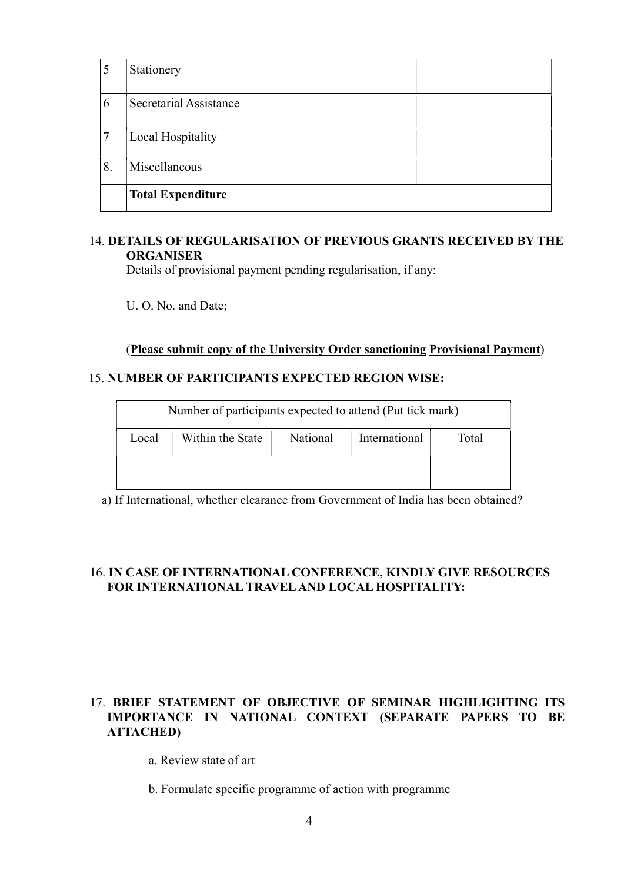| 5  | Stationery               |  |
|----|--------------------------|--|
| 6  | Secretarial Assistance   |  |
| 7  | <b>Local Hospitality</b> |  |
| 8. | Miscellaneous            |  |
|    | <b>Total Expenditure</b> |  |

## 14. DETAILS OF REGULARISATION OF PREVIOUS GRANTS RECEIVED BY THE **ORGANISER**

Details of provisional payment pending regularisation, if any:

U. O. No. and Date;

## (Please submit copy of the University Order sanctioning Provisional Payment)

#### 15. NUMBER OF PARTICIPANTS EXPECTED REGION WISE:

| Number of participants expected to attend (Put tick mark)     |  |  |  |       |
|---------------------------------------------------------------|--|--|--|-------|
| International<br>Within the State<br><b>National</b><br>Local |  |  |  | Total |
|                                                               |  |  |  |       |

a) If International, whether clearance from Government of India has been obtained?

### 16. IN CASE OF INTERNATIONAL CONFERENCE, KINDLY GIVE RESOURCES FOR INTERNATIONAL TRAVEL AND LOCAL HOSPITALITY:

### 17. BRIEF STATEMENT OF OBJECTIVE OF SEMINAR HIGHLIGHTING ITS IMPORTANCE IN NATIONAL CONTEXT (SEPARATE PAPERS TO BE ATTACHED)

a. Review state of art

b. Formulate specific programme of action with programme